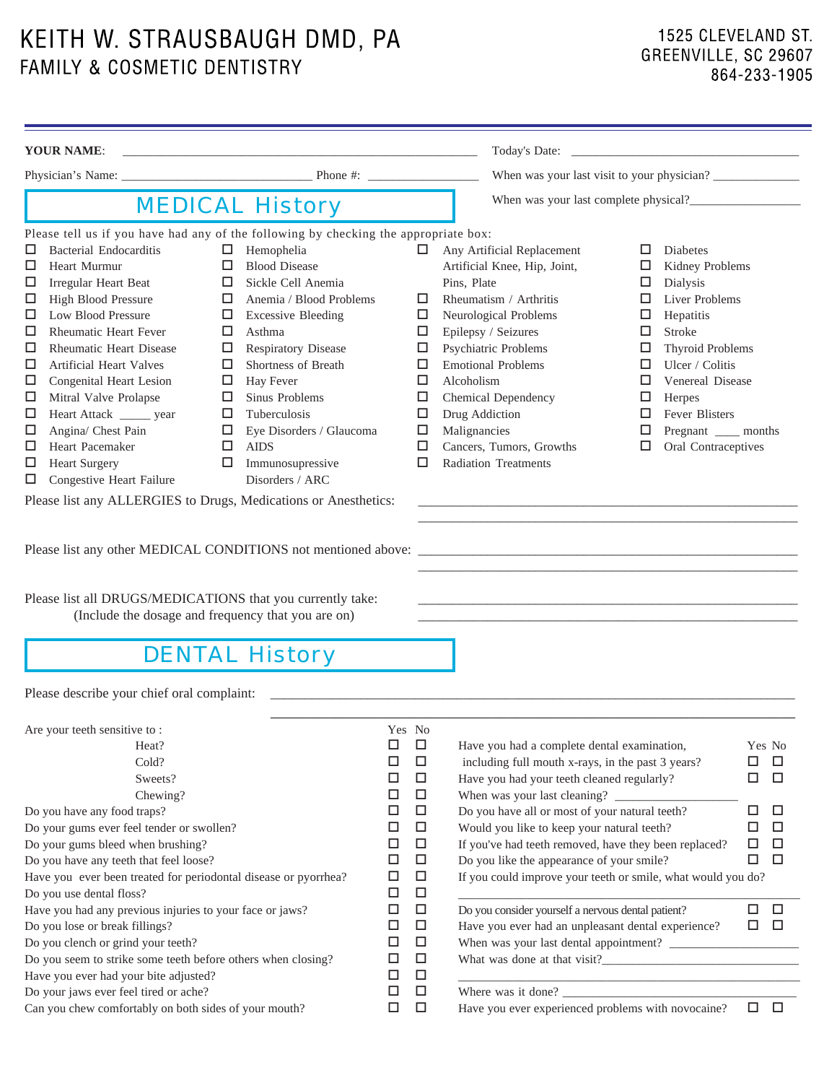KEITH W. STRAUSBAUGH DMD, PA FAMILY & COSMETIC DENTISTRY

| <b>YOUR NAME:</b>                                                                                                                                                                                                                                                                                                                                                                                                                                                                                                                                                                                                                                 |                                                                                                                                                                                                                                                                                                                                                                                                     |                                                                                                                                                                                                                                                                                 |                                                                                                                                                                                                                                                                                                                                                                                                                                                                                                                                                        |                                                                                                                                                                                                                                                                                           |                                                                                                       |
|---------------------------------------------------------------------------------------------------------------------------------------------------------------------------------------------------------------------------------------------------------------------------------------------------------------------------------------------------------------------------------------------------------------------------------------------------------------------------------------------------------------------------------------------------------------------------------------------------------------------------------------------------|-----------------------------------------------------------------------------------------------------------------------------------------------------------------------------------------------------------------------------------------------------------------------------------------------------------------------------------------------------------------------------------------------------|---------------------------------------------------------------------------------------------------------------------------------------------------------------------------------------------------------------------------------------------------------------------------------|--------------------------------------------------------------------------------------------------------------------------------------------------------------------------------------------------------------------------------------------------------------------------------------------------------------------------------------------------------------------------------------------------------------------------------------------------------------------------------------------------------------------------------------------------------|-------------------------------------------------------------------------------------------------------------------------------------------------------------------------------------------------------------------------------------------------------------------------------------------|-------------------------------------------------------------------------------------------------------|
|                                                                                                                                                                                                                                                                                                                                                                                                                                                                                                                                                                                                                                                   |                                                                                                                                                                                                                                                                                                                                                                                                     |                                                                                                                                                                                                                                                                                 |                                                                                                                                                                                                                                                                                                                                                                                                                                                                                                                                                        |                                                                                                                                                                                                                                                                                           |                                                                                                       |
|                                                                                                                                                                                                                                                                                                                                                                                                                                                                                                                                                                                                                                                   | <b>MEDICAL History</b>                                                                                                                                                                                                                                                                                                                                                                              |                                                                                                                                                                                                                                                                                 | When was your last complete physical?                                                                                                                                                                                                                                                                                                                                                                                                                                                                                                                  |                                                                                                                                                                                                                                                                                           |                                                                                                       |
| Please tell us if you have had any of the following by checking the appropriate box:<br><b>Bacterial Endocarditis</b><br>□<br>Heart Murmur<br>⊔<br>Irregular Heart Beat<br>⊔<br><b>High Blood Pressure</b><br>⊔<br>Low Blood Pressure<br>□<br><b>Rheumatic Heart Fever</b><br>⊔<br><b>Rheumatic Heart Disease</b><br>⊔<br><b>Artificial Heart Valves</b><br>⊔<br>Congenital Heart Lesion<br>⊔<br>Mitral Valve Prolapse<br>□<br>Heart Attack _______ year<br>□<br>Angina/ Chest Pain<br>⊔<br>Heart Pacemaker<br>⊔<br><b>Heart Surgery</b><br>⊔<br>Congestive Heart Failure<br>□<br>Please list any ALLERGIES to Drugs, Medications or Anesthetics: | Hemophelia<br>$\Box$<br><b>Blood Disease</b><br>□<br>Sickle Cell Anemia<br>□<br>Anemia / Blood Problems<br>□<br><b>Excessive Bleeding</b><br>□<br>Asthma<br>□<br>Respiratory Disease<br>□<br>Shortness of Breath<br>□<br>Hay Fever<br>□<br>Sinus Problems<br>ш<br>Tuberculosis<br>□<br>Eye Disorders / Glaucoma<br>$\Box$<br><b>AIDS</b><br>$\Box$<br>$\Box$<br>Immunosupressive<br>Disorders / ARC | $\Box$<br>□<br>□<br>□<br>$\Box$<br>□<br>□<br>$\Box$<br>$\Box$<br>□<br>□<br>□                                                                                                                                                                                                    | Any Artificial Replacement<br>Artificial Knee, Hip, Joint,<br>Pins, Plate<br>Rheumatism / Arthritis<br>Neurological Problems<br>Epilepsy / Seizures<br>Psychiatric Problems<br><b>Emotional Problems</b><br>Alcoholism<br>Chemical Dependency<br>Drug Addiction<br>Malignancies<br>Cancers, Tumors, Growths<br><b>Radiation Treatments</b>                                                                                                                                                                                                             | Diabetes<br>□<br>Kidney Problems<br>⊔<br>Dialysis<br>□<br>Liver Problems<br>□<br>Hepatitis<br>□<br>Stroke<br>□<br><b>Thyroid Problems</b><br>⊔<br>Ulcer / Colitis<br>⊔<br>Venereal Disease<br>□<br>□<br>Herpes<br>Fever Blisters<br>□<br>Pregnant ____ months<br>Oral Contraceptives<br>□ |                                                                                                       |
| Please list all DRUGS/MEDICATIONS that you currently take:<br>(Include the dosage and frequency that you are on)                                                                                                                                                                                                                                                                                                                                                                                                                                                                                                                                  | <b>DENTAL History</b>                                                                                                                                                                                                                                                                                                                                                                               |                                                                                                                                                                                                                                                                                 |                                                                                                                                                                                                                                                                                                                                                                                                                                                                                                                                                        |                                                                                                                                                                                                                                                                                           |                                                                                                       |
| Please describe your chief oral complaint:                                                                                                                                                                                                                                                                                                                                                                                                                                                                                                                                                                                                        |                                                                                                                                                                                                                                                                                                                                                                                                     |                                                                                                                                                                                                                                                                                 |                                                                                                                                                                                                                                                                                                                                                                                                                                                                                                                                                        |                                                                                                                                                                                                                                                                                           |                                                                                                       |
| Are your teeth sensitive to:<br>Heat?<br>Cold?<br>Sweets?<br>Chewing?<br>Do you have any food traps?<br>Do your gums ever feel tender or swollen?<br>Do your gums bleed when brushing?<br>Do you have any teeth that feel loose?<br>Have you ever been treated for periodontal disease or pyorrhea?<br>Do you use dental floss?<br>Have you had any previous injuries to your face or jaws?<br>Do you lose or break fillings?<br>Do you clench or grind your teeth?<br>Do you seem to strike some teeth before others when closing?<br>Have you ever had your bite adjusted?<br>Do your jaws ever feel tired or ache?                             |                                                                                                                                                                                                                                                                                                                                                                                                     | Yes No<br>□<br>□<br>□<br>□<br>$\Box$<br>□<br>$\Box$<br>$\Box$<br>$\Box$<br>□<br>$\Box$<br>□<br>$\Box$<br>$\Box$<br>$\Box$<br>$\Box$<br>$\Box$<br>$\Box$<br>$\Box$<br>□<br>$\Box$<br>$\Box$<br>$\Box$<br>$\Box$<br>$\Box$<br>$\Box$<br>$\Box$<br>□<br>$\Box$<br>□<br>$\Box$<br>□ | Have you had a complete dental examination,<br>including full mouth x-rays, in the past 3 years?<br>Have you had your teeth cleaned regularly?<br>Do you have all or most of your natural teeth?<br>Would you like to keep your natural teeth?<br>If you've had teeth removed, have they been replaced?<br>Do you like the appearance of your smile?<br>If you could improve your teeth or smile, what would you do?<br>Do you consider yourself a nervous dental patient?<br>Have you ever had an unpleasant dental experience?<br>Where was it done? | <u> 1989 - Johann Stein, marwolaethau a bhann an t-Amhain an t-Amhain an t-Amhain an t-Amhain an t-Amhain an t-A</u>                                                                                                                                                                      | Yes No<br>◻<br>□<br>□<br>□<br>□<br>□<br>□<br>□<br>□<br>□<br>$\Box$<br>□<br>□<br>$\Box$<br>$\Box$<br>0 |
| Can you chew comfortably on both sides of your mouth?                                                                                                                                                                                                                                                                                                                                                                                                                                                                                                                                                                                             |                                                                                                                                                                                                                                                                                                                                                                                                     | $\Box$<br>$\Box$                                                                                                                                                                                                                                                                | Have you ever experienced problems with novocaine?                                                                                                                                                                                                                                                                                                                                                                                                                                                                                                     |                                                                                                                                                                                                                                                                                           | $\Box$<br>$\Box$                                                                                      |